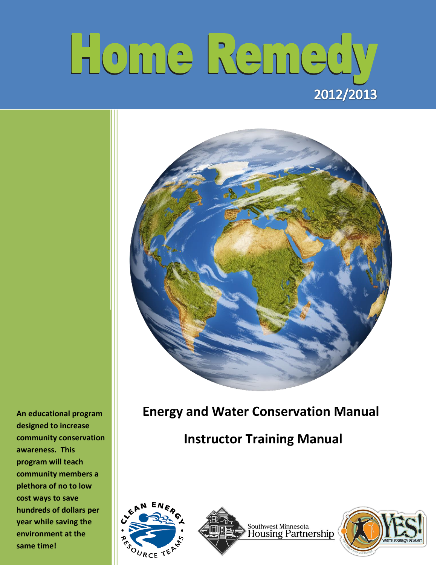# Home Remedy 2012/2013



**An educational program designed to increase community conservation awareness. This program will teach community members a plethora of no to low cost ways to save hundreds of dollars per year while saving the environment at the same time!**

# **Energy and Water Conservation Manual**

# **Instructor Training Manual**





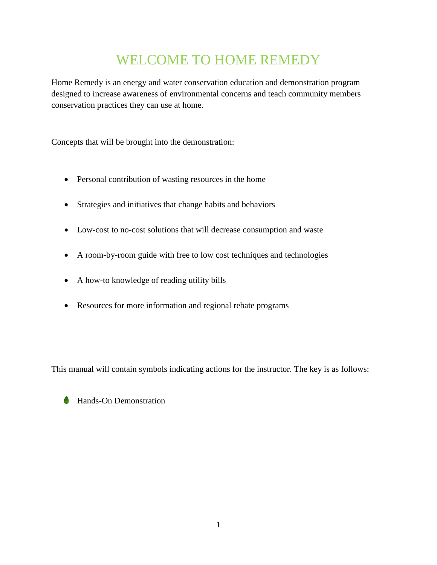# WELCOME TO HOME REMEDY

Home Remedy is an energy and water conservation education and demonstration program designed to increase awareness of environmental concerns and teach community members conservation practices they can use at home.

Concepts that will be brought into the demonstration:

- Personal contribution of wasting resources in the home
- Strategies and initiatives that change habits and behaviors
- Low-cost to no-cost solutions that will decrease consumption and waste
- A room-by-room guide with free to low cost techniques and technologies
- A how-to knowledge of reading utility bills
- Resources for more information and regional rebate programs

This manual will contain symbols indicating actions for the instructor. The key is as follows:

|  |  | Hands-On Demonstration |
|--|--|------------------------|
|--|--|------------------------|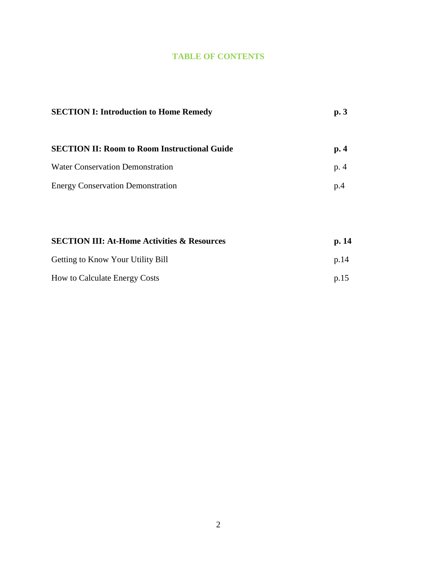#### **TABLE OF CONTENTS**

| <b>SECTION I: Introduction to Home Remedy</b>       | p.3    |
|-----------------------------------------------------|--------|
| <b>SECTION II: Room to Room Instructional Guide</b> | p.4    |
| <b>Water Conservation Demonstration</b>             | p. $4$ |
| <b>Energy Conservation Demonstration</b>            | p.4    |

| <b>SECTION III: At-Home Activities &amp; Resources</b> | p.14 |
|--------------------------------------------------------|------|
| <b>Getting to Know Your Utility Bill</b>               | p.14 |
| <b>How to Calculate Energy Costs</b>                   | p.15 |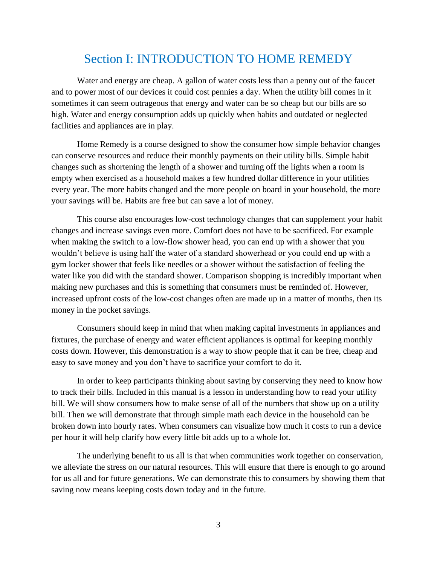## Section I: INTRODUCTION TO HOME REMEDY

Water and energy are cheap. A gallon of water costs less than a penny out of the faucet and to power most of our devices it could cost pennies a day. When the utility bill comes in it sometimes it can seem outrageous that energy and water can be so cheap but our bills are so high. Water and energy consumption adds up quickly when habits and outdated or neglected facilities and appliances are in play.

Home Remedy is a course designed to show the consumer how simple behavior changes can conserve resources and reduce their monthly payments on their utility bills. Simple habit changes such as shortening the length of a shower and turning off the lights when a room is empty when exercised as a household makes a few hundred dollar difference in your utilities every year. The more habits changed and the more people on board in your household, the more your savings will be. Habits are free but can save a lot of money.

This course also encourages low-cost technology changes that can supplement your habit changes and increase savings even more. Comfort does not have to be sacrificed. For example when making the switch to a low-flow shower head, you can end up with a shower that you wouldn't believe is using half the water of a standard showerhead or you could end up with a gym locker shower that feels like needles or a shower without the satisfaction of feeling the water like you did with the standard shower. Comparison shopping is incredibly important when making new purchases and this is something that consumers must be reminded of. However, increased upfront costs of the low-cost changes often are made up in a matter of months, then its money in the pocket savings.

Consumers should keep in mind that when making capital investments in appliances and fixtures, the purchase of energy and water efficient appliances is optimal for keeping monthly costs down. However, this demonstration is a way to show people that it can be free, cheap and easy to save money and you don't have to sacrifice your comfort to do it.

In order to keep participants thinking about saving by conserving they need to know how to track their bills. Included in this manual is a lesson in understanding how to read your utility bill. We will show consumers how to make sense of all of the numbers that show up on a utility bill. Then we will demonstrate that through simple math each device in the household can be broken down into hourly rates. When consumers can visualize how much it costs to run a device per hour it will help clarify how every little bit adds up to a whole lot.

The underlying benefit to us all is that when communities work together on conservation, we alleviate the stress on our natural resources. This will ensure that there is enough to go around for us all and for future generations. We can demonstrate this to consumers by showing them that saving now means keeping costs down today and in the future.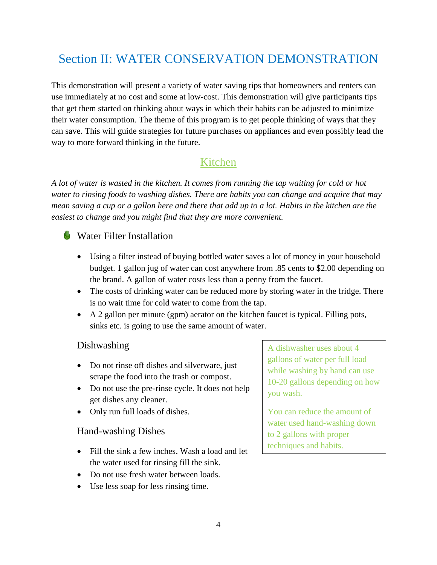# Section II: WATER CONSERVATION DEMONSTRATION

This demonstration will present a variety of water saving tips that homeowners and renters can use immediately at no cost and some at low-cost. This demonstration will give participants tips that get them started on thinking about ways in which their habits can be adjusted to minimize their water consumption. The theme of this program is to get people thinking of ways that they can save. This will guide strategies for future purchases on appliances and even possibly lead the way to more forward thinking in the future.

## Kitchen

*A lot of water is wasted in the kitchen. It comes from running the tap waiting for cold or hot water to rinsing foods to washing dishes. There are habits you can change and acquire that may mean saving a cup or a gallon here and there that add up to a lot. Habits in the kitchen are the easiest to change and you might find that they are more convenient.*

## **Water Filter Installation**

- Using a filter instead of buying bottled water saves a lot of money in your household budget. 1 gallon jug of water can cost anywhere from .85 cents to \$2.00 depending on the brand. A gallon of water costs less than a penny from the faucet.
- The costs of drinking water can be reduced more by storing water in the fridge. There is no wait time for cold water to come from the tap.
- $\blacktriangleright$  A 2 gallon per minute (gpm) aerator on the kitchen faucet is typical. Filling pots, sinks etc. is going to use the same amount of water.

## Dishwashing

- Do not rinse off dishes and silverware, just scrape the food into the trash or compost.
- Do not use the pre-rinse cycle. It does not help get dishes any cleaner.
- Only run full loads of dishes.

## Hand-washing Dishes

- Fill the sink a few inches. Wash a load and let the water used for rinsing fill the sink.
- Do not use fresh water between loads.
- Use less soap for less rinsing time.

A dishwasher uses about 4 gallons of water per full load while washing by hand can use 10-20 gallons depending on how you wash.

You can reduce the amount of water used hand-washing down to 2 gallons with proper techniques and habits.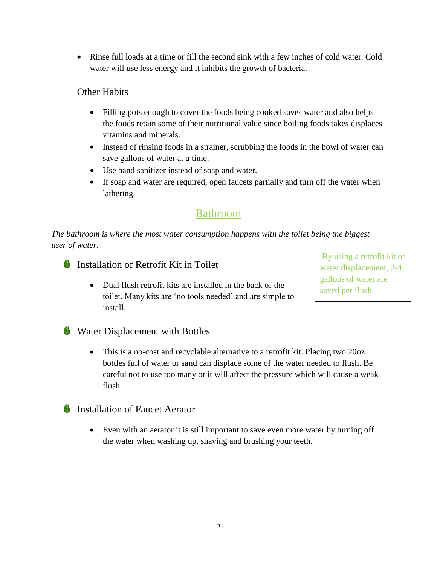Rinse full loads at a time or fill the second sink with a few inches of cold water. Cold water will use less energy and it inhibits the growth of bacteria.

## Other Habits

- Filling pots enough to cover the foods being cooked saves water and also helps the foods retain some of their nutritional value since boiling foods takes displaces vitamins and minerals.
- Instead of rinsing foods in a strainer, scrubbing the foods in the bowl of water can save gallons of water at a time.
- Use hand sanitizer instead of soap and water.
- If soap and water are required, open faucets partially and turn off the water when lathering.

## Bathroom

*The bathroom is where the most water consumption happens with the toilet being the biggest user of water.*



• Dual flush retrofit kits are installed in the back of the toilet. Many kits are 'no tools needed' and are simple to install.

By using a retrofit kit or water displacement, 2-4 gallons of water are saved per flush.

**Water Displacement with Bottles** 

• This is a no-cost and recyclable alternative to a retrofit kit. Placing two 20oz bottles full of water or sand can displace some of the water needed to flush. Be careful not to use too many or it will affect the pressure which will cause a weak flush.

## **Installation of Faucet Aerator**

 Even with an aerator it is still important to save even more water by turning off the water when washing up, shaving and brushing your teeth.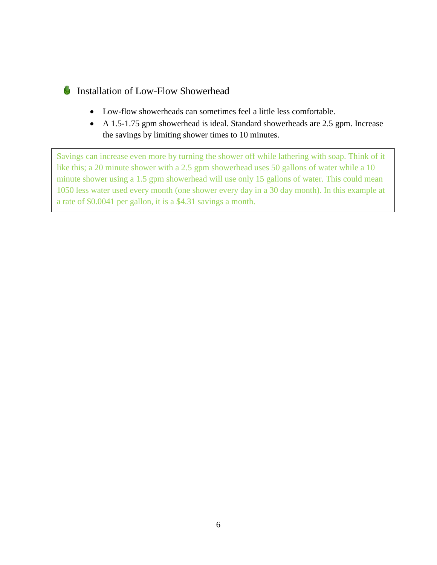## Installation of Low-Flow Showerhead

- Low-flow showerheads can sometimes feel a little less comfortable.
- A 1.5-1.75 gpm showerhead is ideal. Standard showerheads are 2.5 gpm. Increase the savings by limiting shower times to 10 minutes.

Savings can increase even more by turning the shower off while lathering with soap. Think of it like this; a 20 minute shower with a 2.5 gpm showerhead uses 50 gallons of water while a 10 minute shower using a 1.5 gpm showerhead will use only 15 gallons of water. This could mean 1050 less water used every month (one shower every day in a 30 day month). In this example at a rate of \$0.0041 per gallon, it is a \$4.31 savings a month.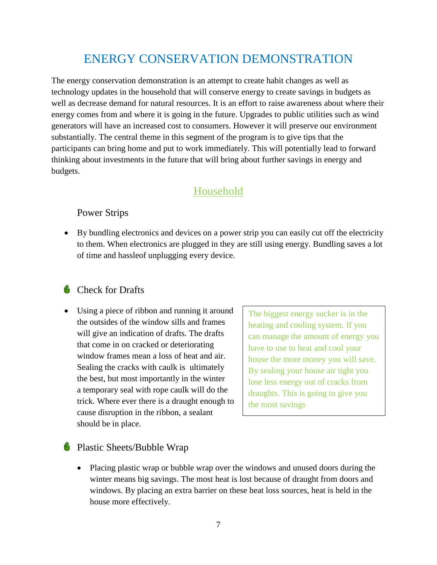# ENERGY CONSERVATION DEMONSTRATION

The energy conservation demonstration is an attempt to create habit changes as well as technology updates in the household that will conserve energy to create savings in budgets as well as decrease demand for natural resources. It is an effort to raise awareness about where their energy comes from and where it is going in the future. Upgrades to public utilities such as wind generators will have an increased cost to consumers. However it will preserve our environment substantially. The central theme in this segment of the program is to give tips that the participants can bring home and put to work immediately. This will potentially lead to forward thinking about investments in the future that will bring about further savings in energy and budgets.

## Household

#### Power Strips

 By bundling electronics and devices on a power strip you can easily cut off the electricity to them. When electronics are plugged in they are still using energy. Bundling saves a lot of time and hassleof unplugging every device.

## Check for Drafts

 Using a piece of ribbon and running it around the outsides of the window sills and frames will give an indication of drafts. The drafts that come in on cracked or deteriorating window frames mean a loss of heat and air. Sealing the cracks with caulk is ultimately the best, but most importantly in the winter a temporary seal with rope caulk will do the trick. Where ever there is a draught enough to cause disruption in the ribbon, a sealant should be in place.

The biggest energy sucker is in the heating and cooling system. If you can manage the amount of energy you have to use to heat and cool your house the more money you will save. By sealing your house air tight you lose less energy out of cracks from draughts. This is going to give you the most savings

#### **Plastic Sheets/Bubble Wrap**

 Placing plastic wrap or bubble wrap over the windows and unused doors during the winter means big savings. The most heat is lost because of draught from doors and windows. By placing an extra barrier on these heat loss sources, heat is held in the house more effectively.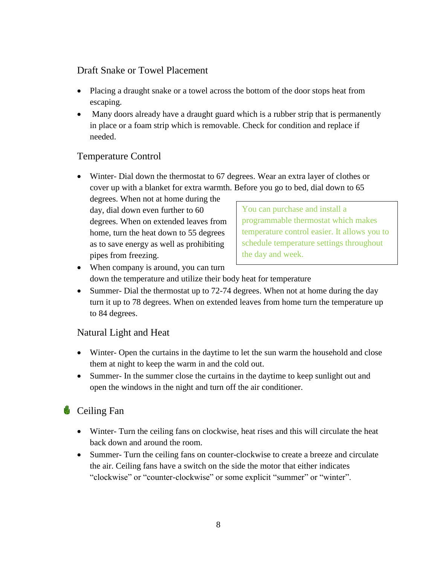#### Draft Snake or Towel Placement

- Placing a draught snake or a towel across the bottom of the door stops heat from escaping.
- Many doors already have a draught guard which is a rubber strip that is permanently in place or a foam strip which is removable. Check for condition and replace if needed.

## Temperature Control

 Winter- Dial down the thermostat to 67 degrees. Wear an extra layer of clothes or cover up with a blanket for extra warmth. Before you go to bed, dial down to 65

degrees. When not at home during the day, dial down even further to 60 degrees. When on extended leaves from home, turn the heat down to 55 degrees as to save energy as well as prohibiting pipes from freezing.

You can purchase and install a programmable thermostat which makes temperature control easier. It allows you to schedule temperature settings throughout the day and week.

- When company is around, you can turn down the temperature and utilize their body heat for temperature
- Summer- Dial the thermostat up to 72-74 degrees. When not at home during the day turn it up to 78 degrees. When on extended leaves from home turn the temperature up to 84 degrees.

## Natural Light and Heat

- Winter- Open the curtains in the daytime to let the sun warm the household and close them at night to keep the warm in and the cold out.
- Summer- In the summer close the curtains in the daytime to keep sunlight out and open the windows in the night and turn off the air conditioner.

## **Ceiling Fan**

- Winter- Turn the ceiling fans on clockwise, heat rises and this will circulate the heat back down and around the room.
- Summer- Turn the ceiling fans on counter-clockwise to create a breeze and circulate the air. Ceiling fans have a switch on the side the motor that either indicates "clockwise" or "counter-clockwise" or some explicit "summer" or "winter".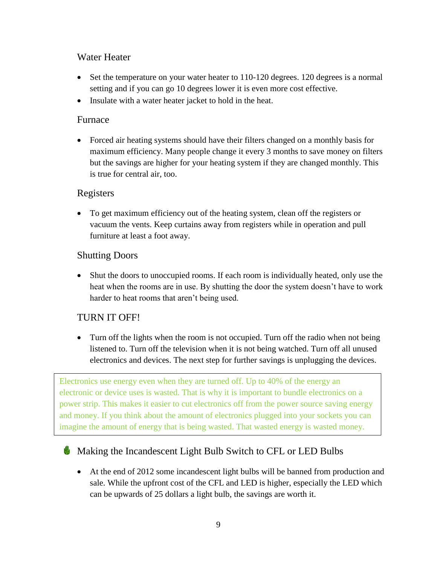#### Water Heater

- Set the temperature on your water heater to 110-120 degrees. 120 degrees is a normal setting and if you can go 10 degrees lower it is even more cost effective.
- Insulate with a water heater jacket to hold in the heat.

#### Furnace

 Forced air heating systems should have their filters changed on a monthly basis for maximum efficiency. Many people change it every 3 months to save money on filters but the savings are higher for your heating system if they are changed monthly. This is true for central air, too.

#### Registers

 To get maximum efficiency out of the heating system, clean off the registers or vacuum the vents. Keep curtains away from registers while in operation and pull furniture at least a foot away.

#### Shutting Doors

 Shut the doors to unoccupied rooms. If each room is individually heated, only use the heat when the rooms are in use. By shutting the door the system doesn't have to work harder to heat rooms that aren't being used.

## TURN IT OFF!

• Turn off the lights when the room is not occupied. Turn off the radio when not being listened to. Turn off the television when it is not being watched. Turn off all unused electronics and devices. The next step for further savings is unplugging the devices.

Electronics use energy even when they are turned off. Up to 40% of the energy an electronic or device uses is wasted. That is why it is important to bundle electronics on a power strip. This makes it easier to cut electronics off from the power source saving energy and money. If you think about the amount of electronics plugged into your sockets you can imagine the amount of energy that is being wasted. That wasted energy is wasted money.

## Making the Incandescent Light Bulb Switch to CFL or LED Bulbs

 At the end of 2012 some incandescent light bulbs will be banned from production and sale. While the upfront cost of the CFL and LED is higher, especially the LED which can be upwards of 25 dollars a light bulb, the savings are worth it.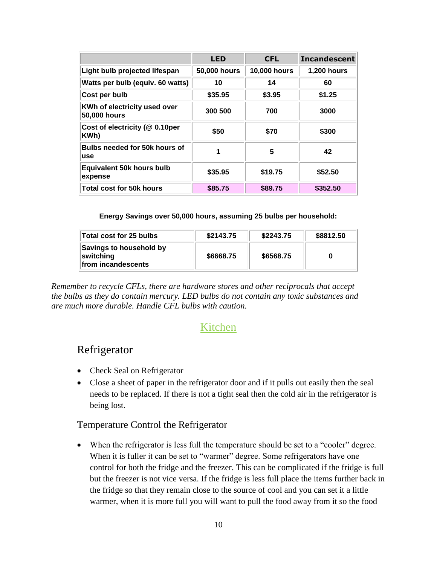|                                              | <b>LED</b>   | <b>CFL</b>          | <b>Incandescent</b> |
|----------------------------------------------|--------------|---------------------|---------------------|
| Light bulb projected lifespan                | 50,000 hours | <b>10,000 hours</b> | <b>1,200 hours</b>  |
| Watts per bulb (equiv. 60 watts)             | 10           | 14                  | 60                  |
| Cost per bulb                                | \$35.95      | \$3.95              | \$1.25              |
| KWh of electricity used over<br>50,000 hours | 300 500      | 700                 | 3000                |
| Cost of electricity (@ 0.10per<br>KWh)       | \$50         | \$70                | \$300               |
| Bulbs needed for 50k hours of<br>use         | 1            | 5                   | 42                  |
| <b>Equivalent 50k hours bulb</b><br>expense  | \$35.95      | \$19.75             | \$52.50             |
| Total cost for 50k hours                     | \$85.75      | \$89.75             | \$352.50            |

**Energy Savings over 50,000 hours, assuming 25 bulbs per household:**

| Total cost for 25 bulbs                                    | \$2143.75 | \$2243.75 | \$8812.50 |
|------------------------------------------------------------|-----------|-----------|-----------|
| Savings to household by<br>switching<br>from incandescents | \$6668.75 | \$6568.75 |           |

*Remember to recycle CFLs, there are hardware stores and other reciprocals that accept the bulbs as they do contain mercury. LED bulbs do not contain any toxic substances and are much more durable. Handle CFL bulbs with caution.*

## Kitchen

## Refrigerator

- Check Seal on Refrigerator
- Close a sheet of paper in the refrigerator door and if it pulls out easily then the seal needs to be replaced. If there is not a tight seal then the cold air in the refrigerator is being lost.

#### Temperature Control the Refrigerator

 When the refrigerator is less full the temperature should be set to a "cooler" degree. When it is fuller it can be set to "warmer" degree. Some refrigerators have one control for both the fridge and the freezer. This can be complicated if the fridge is full but the freezer is not vice versa. If the fridge is less full place the items further back in the fridge so that they remain close to the source of cool and you can set it a little warmer, when it is more full you will want to pull the food away from it so the food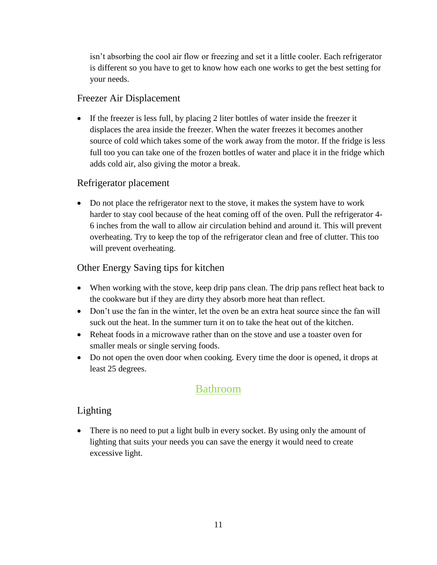isn't absorbing the cool air flow or freezing and set it a little cooler. Each refrigerator is different so you have to get to know how each one works to get the best setting for your needs.

#### Freezer Air Displacement

If the freezer is less full, by placing 2 liter bottles of water inside the freezer it displaces the area inside the freezer. When the water freezes it becomes another source of cold which takes some of the work away from the motor. If the fridge is less full too you can take one of the frozen bottles of water and place it in the fridge which adds cold air, also giving the motor a break.

## Refrigerator placement

 Do not place the refrigerator next to the stove, it makes the system have to work harder to stay cool because of the heat coming off of the oven. Pull the refrigerator 4- 6 inches from the wall to allow air circulation behind and around it. This will prevent overheating. Try to keep the top of the refrigerator clean and free of clutter. This too will prevent overheating.

## Other Energy Saving tips for kitchen

- When working with the stove, keep drip pans clean. The drip pans reflect heat back to the cookware but if they are dirty they absorb more heat than reflect.
- Don't use the fan in the winter, let the oven be an extra heat source since the fan will suck out the heat. In the summer turn it on to take the heat out of the kitchen.
- Reheat foods in a microwave rather than on the stove and use a toaster oven for smaller meals or single serving foods.
- Do not open the oven door when cooking. Every time the door is opened, it drops at least 25 degrees.

## Bathroom

## Lighting

• There is no need to put a light bulb in every socket. By using only the amount of lighting that suits your needs you can save the energy it would need to create excessive light.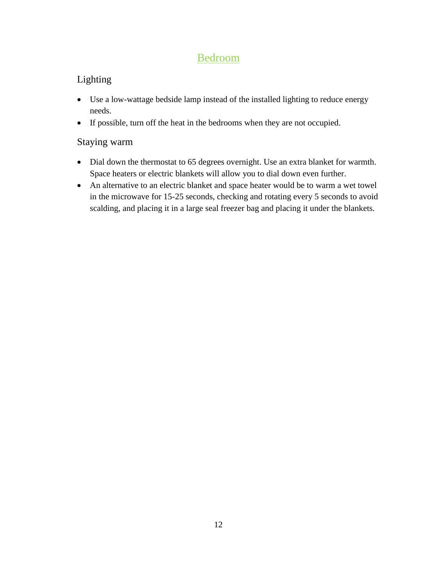## Bedroom

## Lighting

- Use a low-wattage bedside lamp instead of the installed lighting to reduce energy needs.
- If possible, turn off the heat in the bedrooms when they are not occupied.

## Staying warm

- Dial down the thermostat to 65 degrees overnight. Use an extra blanket for warmth. Space heaters or electric blankets will allow you to dial down even further.
- An alternative to an electric blanket and space heater would be to warm a wet towel in the microwave for 15-25 seconds, checking and rotating every 5 seconds to avoid scalding, and placing it in a large seal freezer bag and placing it under the blankets.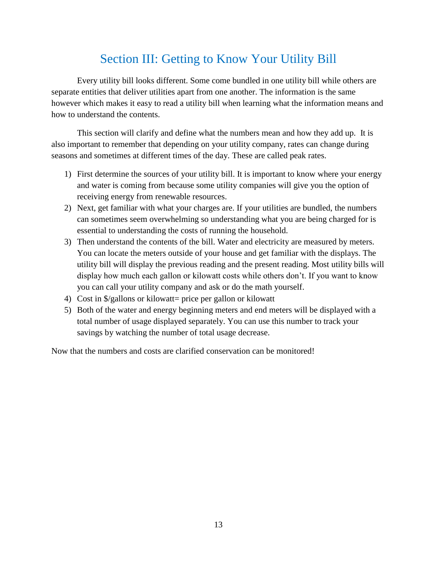# Section III: Getting to Know Your Utility Bill

Every utility bill looks different. Some come bundled in one utility bill while others are separate entities that deliver utilities apart from one another. The information is the same however which makes it easy to read a utility bill when learning what the information means and how to understand the contents.

This section will clarify and define what the numbers mean and how they add up. It is also important to remember that depending on your utility company, rates can change during seasons and sometimes at different times of the day. These are called peak rates.

- 1) First determine the sources of your utility bill. It is important to know where your energy and water is coming from because some utility companies will give you the option of receiving energy from renewable resources.
- 2) Next, get familiar with what your charges are. If your utilities are bundled, the numbers can sometimes seem overwhelming so understanding what you are being charged for is essential to understanding the costs of running the household.
- 3) Then understand the contents of the bill. Water and electricity are measured by meters. You can locate the meters outside of your house and get familiar with the displays. The utility bill will display the previous reading and the present reading. Most utility bills will display how much each gallon or kilowatt costs while others don't. If you want to know you can call your utility company and ask or do the math yourself.
- 4) Cost in \$/gallons or kilowatt= price per gallon or kilowatt
- 5) Both of the water and energy beginning meters and end meters will be displayed with a total number of usage displayed separately. You can use this number to track your savings by watching the number of total usage decrease.

Now that the numbers and costs are clarified conservation can be monitored!